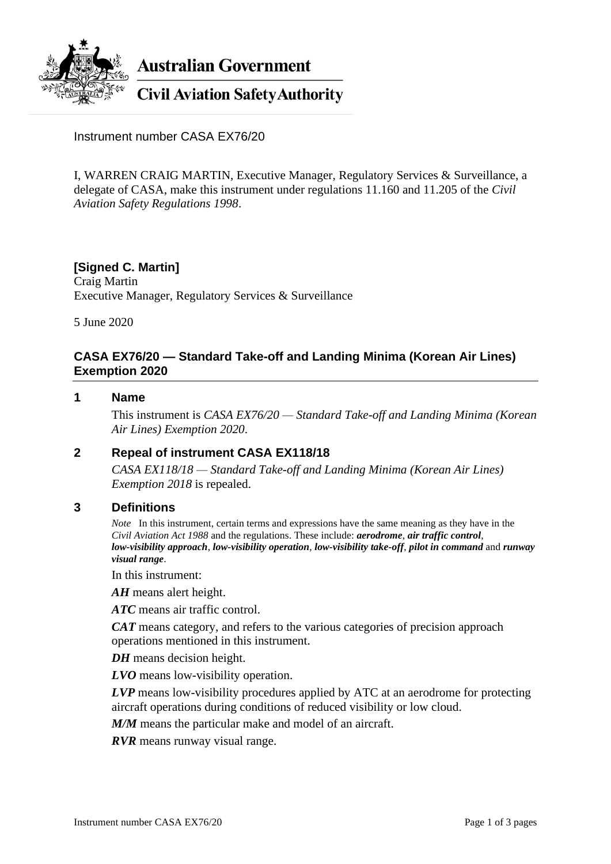

**Australian Government** 

**Civil Aviation Safety Authority** 

Instrument number CASA EX76/20

I, WARREN CRAIG MARTIN, Executive Manager, Regulatory Services & Surveillance, a delegate of CASA, make this instrument under regulations 11.160 and 11.205 of the *Civil Aviation Safety Regulations 1998*.

### **[Signed C. Martin]** Craig Martin Executive Manager, Regulatory Services & Surveillance

5 June 2020

## **CASA EX76/20 — Standard Take-off and Landing Minima (Korean Air Lines) Exemption 2020**

#### **1 Name**

This instrument is *CASA EX76/20 — Standard Take-off and Landing Minima (Korean Air Lines) Exemption 2020*.

### **2 Repeal of instrument CASA EX118/18**

*CASA EX118/18 — Standard Take-off and Landing Minima (Korean Air Lines) Exemption 2018* is repealed.

### **3 Definitions**

*Note* In this instrument, certain terms and expressions have the same meaning as they have in the *Civil Aviation Act 1988* and the regulations. These include: *aerodrome*, *air traffic control*, *low-visibility approach*, *low-visibility operation*, *low-visibility take-off*, *pilot in command* and *runway visual range*.

In this instrument:

*AH* means alert height.

*ATC* means air traffic control.

*CAT* means category, and refers to the various categories of precision approach operations mentioned in this instrument.

*DH* means decision height.

*LVO* means low-visibility operation.

*LVP* means low-visibility procedures applied by ATC at an aerodrome for protecting aircraft operations during conditions of reduced visibility or low cloud.

*M/M* means the particular make and model of an aircraft.

*RVR* means runway visual range.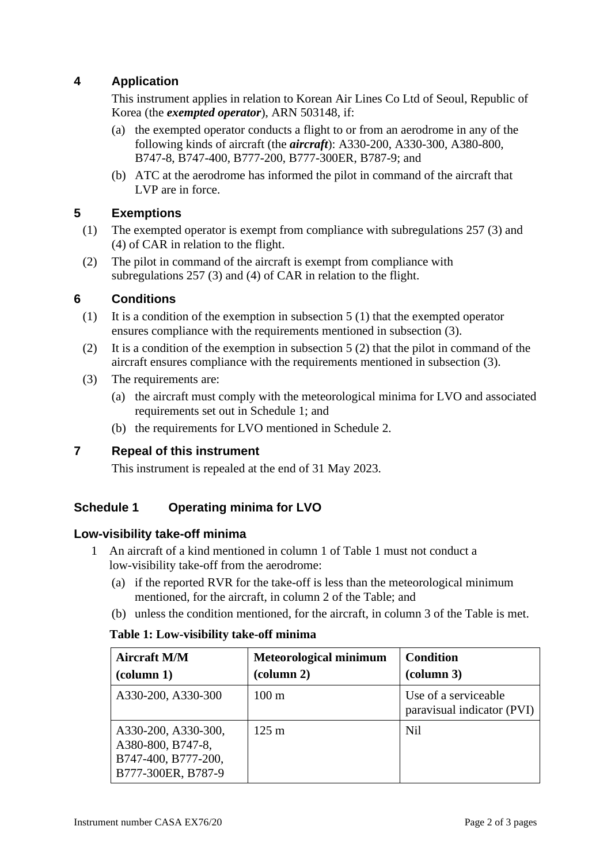# **4 Application**

This instrument applies in relation to Korean Air Lines Co Ltd of Seoul, Republic of Korea (the *exempted operator*), ARN 503148, if:

- (a) the exempted operator conducts a flight to or from an aerodrome in any of the following kinds of aircraft (the *aircraft*): A330-200, A330-300, A380-800, B747-8, B747-400, B777-200, B777-300ER, B787-9; and
- (b) ATC at the aerodrome has informed the pilot in command of the aircraft that LVP are in force.

# **5 Exemptions**

- (1) The exempted operator is exempt from compliance with subregulations 257 (3) and (4) of CAR in relation to the flight.
- (2) The pilot in command of the aircraft is exempt from compliance with subregulations 257 (3) and (4) of CAR in relation to the flight.

## **6 Conditions**

- (1) It is a condition of the exemption in subsection 5 (1) that the exempted operator ensures compliance with the requirements mentioned in subsection (3).
- (2) It is a condition of the exemption in subsection 5 (2) that the pilot in command of the aircraft ensures compliance with the requirements mentioned in subsection (3).
- (3) The requirements are:
	- (a) the aircraft must comply with the meteorological minima for LVO and associated requirements set out in Schedule 1; and
	- (b) the requirements for LVO mentioned in Schedule 2.

## **7 Repeal of this instrument**

This instrument is repealed at the end of 31 May 2023.

# **Schedule 1 Operating minima for LVO**

## **Low-visibility take-off minima**

- 1 An aircraft of a kind mentioned in column 1 of Table 1 must not conduct a low-visibility take-off from the aerodrome:
	- (a) if the reported RVR for the take-off is less than the meteorological minimum mentioned, for the aircraft, in column 2 of the Table; and
	- (b) unless the condition mentioned, for the aircraft, in column 3 of the Table is met.

### **Table 1: Low-visibility take-off minima**

| <b>Aircraft M/M</b><br>$\left(\text{column } 1\right)$                                | <b>Meteorological minimum</b><br>$\left(\text{column } 2\right)$ | <b>Condition</b><br>(column 3)                     |
|---------------------------------------------------------------------------------------|------------------------------------------------------------------|----------------------------------------------------|
| A330-200, A330-300                                                                    | $100 \text{ m}$                                                  | Use of a serviceable<br>paravisual indicator (PVI) |
| A330-200, A330-300,<br>A380-800, B747-8,<br>B747-400, B777-200,<br>B777-300ER, B787-9 | $125 \text{ m}$                                                  | <b>Nil</b>                                         |